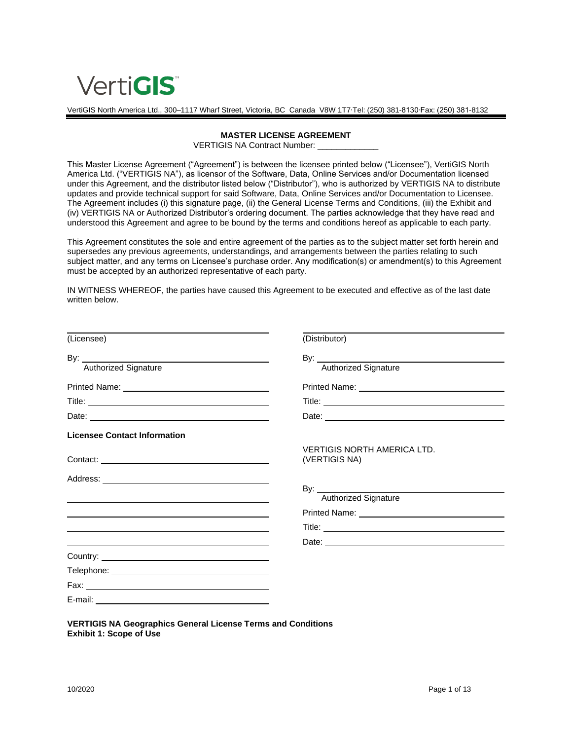

VertiGIS North America Ltd., 300–1117 Wharf Street, Victoria, BC Canada V8W 1T7∙Tel: (250) 381-8130∙Fax: (250) 381-8132

#### **MASTER LICENSE AGREEMENT**

VERTIGIS NA Contract Number:

This Master License Agreement ("Agreement") is between the licensee printed below ("Licensee"), VertiGIS North America Ltd. ("VERTIGIS NA"), as licensor of the Software, Data, Online Services and/or Documentation licensed under this Agreement, and the distributor listed below ("Distributor"), who is authorized by VERTIGIS NA to distribute updates and provide technical support for said Software, Data, Online Services and/or Documentation to Licensee. The Agreement includes (i) this signature page, (ii) the General License Terms and Conditions, (iii) the Exhibit and (iv) VERTIGIS NA or Authorized Distributor's ordering document. The parties acknowledge that they have read and understood this Agreement and agree to be bound by the terms and conditions hereof as applicable to each party.

This Agreement constitutes the sole and entire agreement of the parties as to the subject matter set forth herein and supersedes any previous agreements, understandings, and arrangements between the parties relating to such subject matter, and any terms on Licensee's purchase order. Any modification(s) or amendment(s) to this Agreement must be accepted by an authorized representative of each party.

IN WITNESS WHEREOF, the parties have caused this Agreement to be executed and effective as of the last date written below.

| (Licensee)<br>(Distributor)<br><b>Authorized Signature</b><br>Authorized Signature<br><b>Licensee Contact Information</b><br><b>VERTIGIS NORTH AMERICA LTD.</b><br>(VERTIGIS NA)<br>Authorized Signature<br>the control of the control of the control of the control of the control of the control of the control of the control of the control of the control of the control of the control of the control of the control of the control |                                                                                                                                                                                                                                |
|-------------------------------------------------------------------------------------------------------------------------------------------------------------------------------------------------------------------------------------------------------------------------------------------------------------------------------------------------------------------------------------------------------------------------------------------|--------------------------------------------------------------------------------------------------------------------------------------------------------------------------------------------------------------------------------|
|                                                                                                                                                                                                                                                                                                                                                                                                                                           |                                                                                                                                                                                                                                |
|                                                                                                                                                                                                                                                                                                                                                                                                                                           |                                                                                                                                                                                                                                |
|                                                                                                                                                                                                                                                                                                                                                                                                                                           |                                                                                                                                                                                                                                |
|                                                                                                                                                                                                                                                                                                                                                                                                                                           |                                                                                                                                                                                                                                |
|                                                                                                                                                                                                                                                                                                                                                                                                                                           |                                                                                                                                                                                                                                |
|                                                                                                                                                                                                                                                                                                                                                                                                                                           |                                                                                                                                                                                                                                |
|                                                                                                                                                                                                                                                                                                                                                                                                                                           |                                                                                                                                                                                                                                |
|                                                                                                                                                                                                                                                                                                                                                                                                                                           |                                                                                                                                                                                                                                |
|                                                                                                                                                                                                                                                                                                                                                                                                                                           |                                                                                                                                                                                                                                |
|                                                                                                                                                                                                                                                                                                                                                                                                                                           |                                                                                                                                                                                                                                |
|                                                                                                                                                                                                                                                                                                                                                                                                                                           | Printed Name: Name: Name of Alberta Alberta Alberta Alberta Alberta Alberta Alberta Alberta Alberta Alberta Alberta Alberta Alberta Alberta Alberta Alberta Alberta Alberta Alberta Alberta Alberta Alberta Alberta Alberta Al |
|                                                                                                                                                                                                                                                                                                                                                                                                                                           |                                                                                                                                                                                                                                |
|                                                                                                                                                                                                                                                                                                                                                                                                                                           |                                                                                                                                                                                                                                |
|                                                                                                                                                                                                                                                                                                                                                                                                                                           |                                                                                                                                                                                                                                |
|                                                                                                                                                                                                                                                                                                                                                                                                                                           |                                                                                                                                                                                                                                |
|                                                                                                                                                                                                                                                                                                                                                                                                                                           |                                                                                                                                                                                                                                |
|                                                                                                                                                                                                                                                                                                                                                                                                                                           |                                                                                                                                                                                                                                |

**VERTIGIS NA Geographics General License Terms and Conditions Exhibit 1: Scope of Use**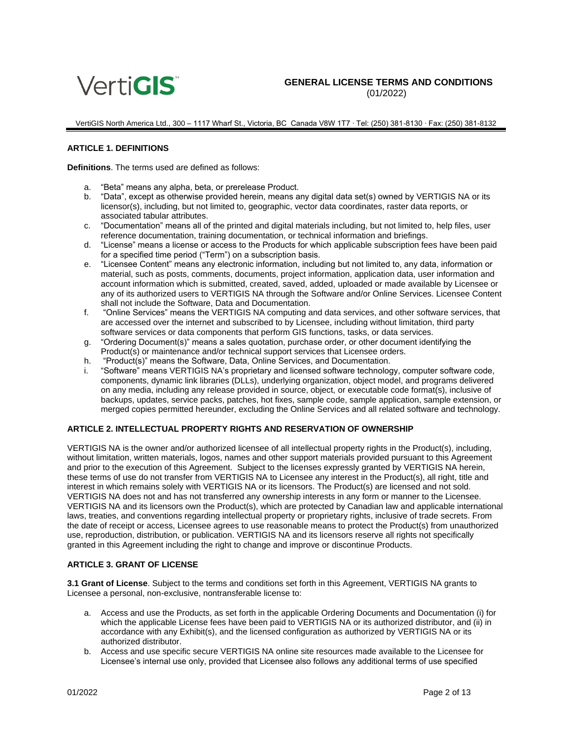

VertiGIS North America Ltd., 300 – 1117 Wharf St., Victoria, BC Canada V8W 1T7 ∙ Tel: (250) 381-8130 ∙ Fax: (250) 381-8132

#### **ARTICLE 1. DEFINITIONS**

**Definitions**. The terms used are defined as follows:

- a. "Beta" means any alpha, beta, or prerelease Product.
- b. "Data", except as otherwise provided herein, means any digital data set(s) owned by VERTIGIS NA or its licensor(s), including, but not limited to, geographic, vector data coordinates, raster data reports, or associated tabular attributes.
- c. "Documentation" means all of the printed and digital materials including, but not limited to, help files, user reference documentation, training documentation, or technical information and briefings.
- d. "License" means a license or access to the Products for which applicable subscription fees have been paid for a specified time period ("Term") on a subscription basis.
- e. "Licensee Content" means any electronic information, including but not limited to, any data, information or material, such as posts, comments, documents, project information, application data, user information and account information which is submitted, created, saved, added, uploaded or made available by Licensee or any of its authorized users to VERTIGIS NA through the Software and/or Online Services. Licensee Content shall not include the Software, Data and Documentation.
- f. "Online Services" means the VERTIGIS NA computing and data services, and other software services, that are accessed over the internet and subscribed to by Licensee, including without limitation, third party software services or data components that perform GIS functions, tasks, or data services.
- g. "Ordering Document(s)" means a sales quotation, purchase order, or other document identifying the Product(s) or maintenance and/or technical support services that Licensee orders.
- h. "Product(s)" means the Software, Data, Online Services, and Documentation.
- i. "Software" means VERTIGIS NA's proprietary and licensed software technology, computer software code, components, dynamic link libraries (DLLs), underlying organization, object model, and programs delivered on any media, including any release provided in source, object, or executable code format(s), inclusive of backups, updates, service packs, patches, hot fixes, sample code, sample application, sample extension, or merged copies permitted hereunder, excluding the Online Services and all related software and technology.

### **ARTICLE 2. INTELLECTUAL PROPERTY RIGHTS AND RESERVATION OF OWNERSHIP**

VERTIGIS NA is the owner and/or authorized licensee of all intellectual property rights in the Product(s), including, without limitation, written materials, logos, names and other support materials provided pursuant to this Agreement and prior to the execution of this Agreement. Subject to the licenses expressly granted by VERTIGIS NA herein, these terms of use do not transfer from VERTIGIS NA to Licensee any interest in the Product(s), all right, title and interest in which remains solely with VERTIGIS NA or its licensors. The Product(s) are licensed and not sold. VERTIGIS NA does not and has not transferred any ownership interests in any form or manner to the Licensee. VERTIGIS NA and its licensors own the Product(s), which are protected by Canadian law and applicable international laws, treaties, and conventions regarding intellectual property or proprietary rights, inclusive of trade secrets. From the date of receipt or access, Licensee agrees to use reasonable means to protect the Product(s) from unauthorized use, reproduction, distribution, or publication. VERTIGIS NA and its licensors reserve all rights not specifically granted in this Agreement including the right to change and improve or discontinue Products.

#### **ARTICLE 3. GRANT OF LICENSE**

**3.1 Grant of License**. Subject to the terms and conditions set forth in this Agreement, VERTIGIS NA grants to Licensee a personal, non-exclusive, nontransferable license to:

- a. Access and use the Products, as set forth in the applicable Ordering Documents and Documentation (i) for which the applicable License fees have been paid to VERTIGIS NA or its authorized distributor, and (ii) in accordance with any Exhibit(s), and the licensed configuration as authorized by VERTIGIS NA or its authorized distributor.
- b. Access and use specific secure VERTIGIS NA online site resources made available to the Licensee for Licensee's internal use only, provided that Licensee also follows any additional terms of use specified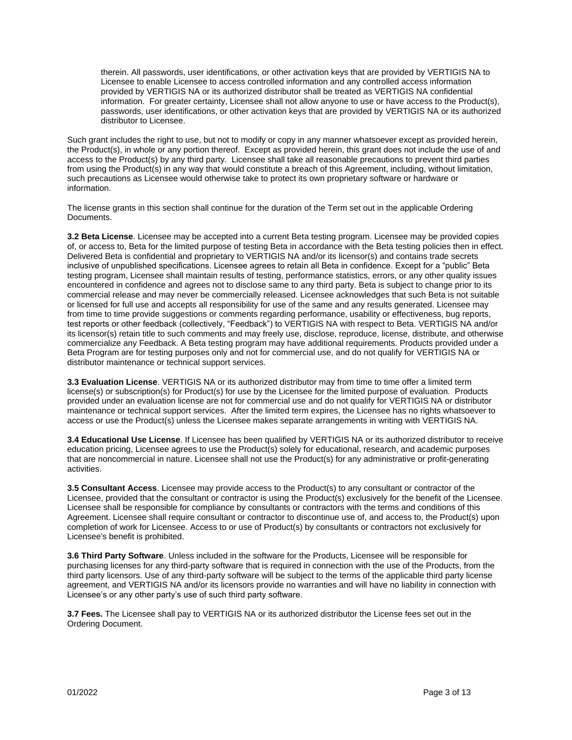therein. All passwords, user identifications, or other activation keys that are provided by VERTIGIS NA to Licensee to enable Licensee to access controlled information and any controlled access information provided by VERTIGIS NA or its authorized distributor shall be treated as VERTIGIS NA confidential information. For greater certainty, Licensee shall not allow anyone to use or have access to the Product(s), passwords, user identifications, or other activation keys that are provided by VERTIGIS NA or its authorized distributor to Licensee.

Such grant includes the right to use, but not to modify or copy in any manner whatsoever except as provided herein, the Product(s), in whole or any portion thereof. Except as provided herein, this grant does not include the use of and access to the Product(s) by any third party. Licensee shall take all reasonable precautions to prevent third parties from using the Product(s) in any way that would constitute a breach of this Agreement, including, without limitation, such precautions as Licensee would otherwise take to protect its own proprietary software or hardware or information.

The license grants in this section shall continue for the duration of the Term set out in the applicable Ordering Documents.

**3.2 Beta License**. Licensee may be accepted into a current Beta testing program. Licensee may be provided copies of, or access to, Beta for the limited purpose of testing Beta in accordance with the Beta testing policies then in effect. Delivered Beta is confidential and proprietary to VERTIGIS NA and/or its licensor(s) and contains trade secrets inclusive of unpublished specifications. Licensee agrees to retain all Beta in confidence. Except for a "public" Beta testing program, Licensee shall maintain results of testing, performance statistics, errors, or any other quality issues encountered in confidence and agrees not to disclose same to any third party. Beta is subject to change prior to its commercial release and may never be commercially released. Licensee acknowledges that such Beta is not suitable or licensed for full use and accepts all responsibility for use of the same and any results generated. Licensee may from time to time provide suggestions or comments regarding performance, usability or effectiveness, bug reports, test reports or other feedback (collectively, "Feedback") to VERTIGIS NA with respect to Beta. VERTIGIS NA and/or its licensor(s) retain title to such comments and may freely use, disclose, reproduce, license, distribute, and otherwise commercialize any Feedback. A Beta testing program may have additional requirements. Products provided under a Beta Program are for testing purposes only and not for commercial use, and do not qualify for VERTIGIS NA or distributor maintenance or technical support services.

**3.3 Evaluation License**. VERTIGIS NA or its authorized distributor may from time to time offer a limited term license(s) or subscription(s) for Product(s) for use by the Licensee for the limited purpose of evaluation. Products provided under an evaluation license are not for commercial use and do not qualify for VERTIGIS NA or distributor maintenance or technical support services. After the limited term expires, the Licensee has no rights whatsoever to access or use the Product(s) unless the Licensee makes separate arrangements in writing with VERTIGIS NA.

**3.4 Educational Use License**. If Licensee has been qualified by VERTIGIS NA or its authorized distributor to receive education pricing, Licensee agrees to use the Product(s) solely for educational, research, and academic purposes that are noncommercial in nature. Licensee shall not use the Product(s) for any administrative or profit-generating activities.

**3.5 Consultant Access**. Licensee may provide access to the Product(s) to any consultant or contractor of the Licensee, provided that the consultant or contractor is using the Product(s) exclusively for the benefit of the Licensee. Licensee shall be responsible for compliance by consultants or contractors with the terms and conditions of this Agreement. Licensee shall require consultant or contractor to discontinue use of, and access to, the Product(s) upon completion of work for Licensee. Access to or use of Product(s) by consultants or contractors not exclusively for Licensee's benefit is prohibited.

**3.6 Third Party Software**. Unless included in the software for the Products, Licensee will be responsible for purchasing licenses for any third-party software that is required in connection with the use of the Products, from the third party licensors. Use of any third-party software will be subject to the terms of the applicable third party license agreement, and VERTIGIS NA and/or its licensors provide no warranties and will have no liability in connection with Licensee's or any other party's use of such third party software.

**3.7 Fees.** The Licensee shall pay to VERTIGIS NA or its authorized distributor the License fees set out in the Ordering Document.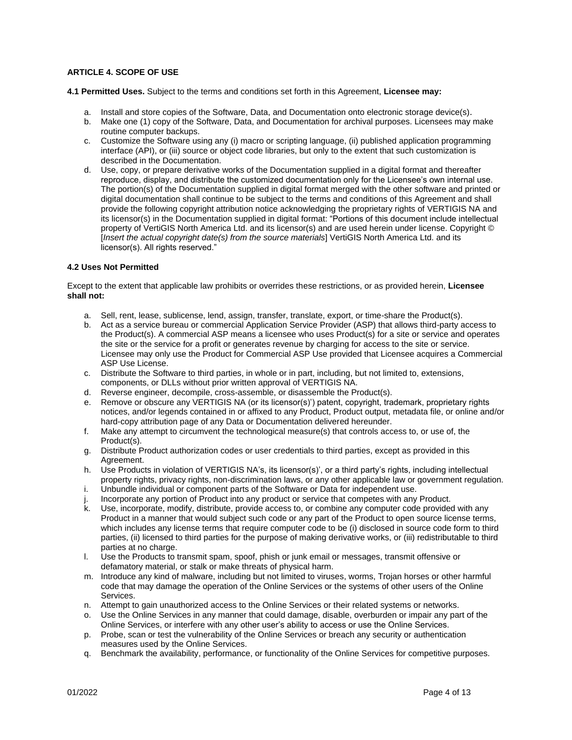## **ARTICLE 4. SCOPE OF USE**

**4.1 Permitted Uses.** Subject to the terms and conditions set forth in this Agreement, **Licensee may:**

- a. Install and store copies of the Software, Data, and Documentation onto electronic storage device(s).
- b. Make one (1) copy of the Software, Data, and Documentation for archival purposes. Licensees may make routine computer backups.
- c. Customize the Software using any (i) macro or scripting language, (ii) published application programming interface (API), or (iii) source or object code libraries, but only to the extent that such customization is described in the Documentation.
- d. Use, copy, or prepare derivative works of the Documentation supplied in a digital format and thereafter reproduce, display, and distribute the customized documentation only for the Licensee's own internal use. The portion(s) of the Documentation supplied in digital format merged with the other software and printed or digital documentation shall continue to be subject to the terms and conditions of this Agreement and shall provide the following copyright attribution notice acknowledging the proprietary rights of VERTIGIS NA and its licensor(s) in the Documentation supplied in digital format: "Portions of this document include intellectual property of VertiGIS North America Ltd. and its licensor(s) and are used herein under license. Copyright © [*Insert the actual copyright date(s) from the source materials*] VertiGIS North America Ltd. and its licensor(s). All rights reserved."

### **4.2 Uses Not Permitted**

Except to the extent that applicable law prohibits or overrides these restrictions, or as provided herein, **Licensee shall not:**

- a. Sell, rent, lease, sublicense, lend, assign, transfer, translate, export, or time-share the Product(s).
- b. Act as a service bureau or commercial Application Service Provider (ASP) that allows third-party access to the Product(s). A commercial ASP means a licensee who uses Product(s) for a site or service and operates the site or the service for a profit or generates revenue by charging for access to the site or service. Licensee may only use the Product for Commercial ASP Use provided that Licensee acquires a Commercial ASP Use License.
- c. Distribute the Software to third parties, in whole or in part, including, but not limited to, extensions, components, or DLLs without prior written approval of VERTIGIS NA.
- d. Reverse engineer, decompile, cross-assemble, or disassemble the Product(s).
- e. Remove or obscure any VERTIGIS NA (or its licensor(s)') patent, copyright, trademark, proprietary rights notices, and/or legends contained in or affixed to any Product, Product output, metadata file, or online and/or hard-copy attribution page of any Data or Documentation delivered hereunder.
- f. Make any attempt to circumvent the technological measure(s) that controls access to, or use of, the Product(s).
- g. Distribute Product authorization codes or user credentials to third parties, except as provided in this Agreement.
- h. Use Products in violation of VERTIGIS NA's, its licensor(s)', or a third party's rights, including intellectual property rights, privacy rights, non-discrimination laws, or any other applicable law or government regulation.
- i. Unbundle individual or component parts of the Software or Data for independent use.
- j. Incorporate any portion of Product into any product or service that competes with any Product.
- k. Use, incorporate, modify, distribute, provide access to, or combine any computer code provided with any Product in a manner that would subject such code or any part of the Product to open source license terms, which includes any license terms that require computer code to be (i) disclosed in source code form to third parties, (ii) licensed to third parties for the purpose of making derivative works, or (iii) redistributable to third parties at no charge.
- l. Use the Products to transmit spam, spoof, phish or junk email or messages, transmit offensive or defamatory material, or stalk or make threats of physical harm.
- m. Introduce any kind of malware, including but not limited to viruses, worms, Trojan horses or other harmful code that may damage the operation of the Online Services or the systems of other users of the Online **Services**
- n. Attempt to gain unauthorized access to the Online Services or their related systems or networks.
- o. Use the Online Services in any manner that could damage, disable, overburden or impair any part of the Online Services, or interfere with any other user's ability to access or use the Online Services.
- p. Probe, scan or test the vulnerability of the Online Services or breach any security or authentication measures used by the Online Services.
- q. Benchmark the availability, performance, or functionality of the Online Services for competitive purposes.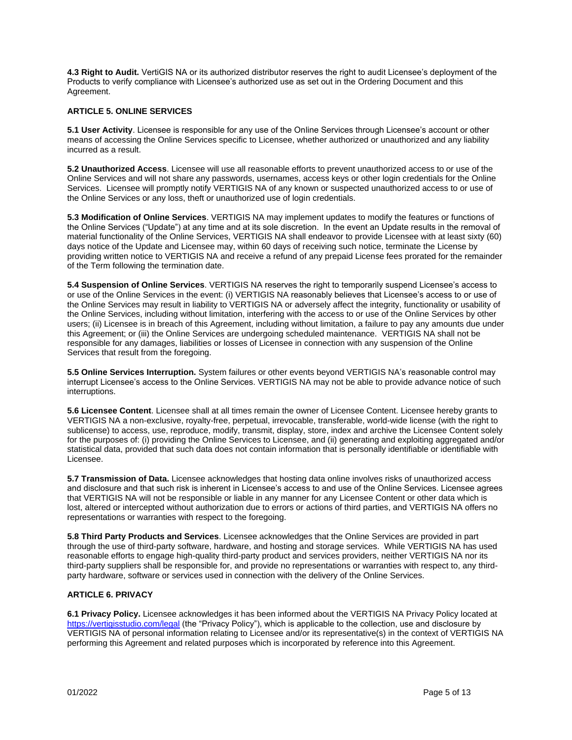**4.3 Right to Audit.** VertiGIS NA or its authorized distributor reserves the right to audit Licensee's deployment of the Products to verify compliance with Licensee's authorized use as set out in the Ordering Document and this Agreement.

### **ARTICLE 5. ONLINE SERVICES**

**5.1 User Activity**. Licensee is responsible for any use of the Online Services through Licensee's account or other means of accessing the Online Services specific to Licensee, whether authorized or unauthorized and any liability incurred as a result.

**5.2 Unauthorized Access**. Licensee will use all reasonable efforts to prevent unauthorized access to or use of the Online Services and will not share any passwords, usernames, access keys or other login credentials for the Online Services. Licensee will promptly notify VERTIGIS NA of any known or suspected unauthorized access to or use of the Online Services or any loss, theft or unauthorized use of login credentials.

**5.3 Modification of Online Services**. VERTIGIS NA may implement updates to modify the features or functions of the Online Services ("Update") at any time and at its sole discretion. In the event an Update results in the removal of material functionality of the Online Services, VERTIGIS NA shall endeavor to provide Licensee with at least sixty (60) days notice of the Update and Licensee may, within 60 days of receiving such notice, terminate the License by providing written notice to VERTIGIS NA and receive a refund of any prepaid License fees prorated for the remainder of the Term following the termination date.

**5.4 Suspension of Online Services**. VERTIGIS NA reserves the right to temporarily suspend Licensee's access to or use of the Online Services in the event: (i) VERTIGIS NA reasonably believes that Licensee's access to or use of the Online Services may result in liability to VERTIGIS NA or adversely affect the integrity, functionality or usability of the Online Services, including without limitation, interfering with the access to or use of the Online Services by other users; (ii) Licensee is in breach of this Agreement, including without limitation, a failure to pay any amounts due under this Agreement; or (iii) the Online Services are undergoing scheduled maintenance. VERTIGIS NA shall not be responsible for any damages, liabilities or losses of Licensee in connection with any suspension of the Online Services that result from the foregoing.

**5.5 Online Services Interruption.** System failures or other events beyond VERTIGIS NA's reasonable control may interrupt Licensee's access to the Online Services. VERTIGIS NA may not be able to provide advance notice of such interruptions.

**5.6 Licensee Content**. Licensee shall at all times remain the owner of Licensee Content. Licensee hereby grants to VERTIGIS NA a non-exclusive, royalty-free, perpetual, irrevocable, transferable, world-wide license (with the right to sublicense) to access, use, reproduce, modify, transmit, display, store, index and archive the Licensee Content solely for the purposes of: (i) providing the Online Services to Licensee, and (ii) generating and exploiting aggregated and/or statistical data, provided that such data does not contain information that is personally identifiable or identifiable with Licensee.

**5.7 Transmission of Data.** Licensee acknowledges that hosting data online involves risks of unauthorized access and disclosure and that such risk is inherent in Licensee's access to and use of the Online Services. Licensee agrees that VERTIGIS NA will not be responsible or liable in any manner for any Licensee Content or other data which is lost, altered or intercepted without authorization due to errors or actions of third parties, and VERTIGIS NA offers no representations or warranties with respect to the foregoing.

**5.8 Third Party Products and Services**. Licensee acknowledges that the Online Services are provided in part through the use of third-party software, hardware, and hosting and storage services. While VERTIGIS NA has used reasonable efforts to engage high-quality third-party product and services providers, neither VERTIGIS NA nor its third-party suppliers shall be responsible for, and provide no representations or warranties with respect to, any thirdparty hardware, software or services used in connection with the delivery of the Online Services.

# **ARTICLE 6. PRIVACY**

**6.1 Privacy Policy.** Licensee acknowledges it has been informed about the VERTIGIS NA Privacy Policy located at <https://vertigisstudio.com/legal> (the "Privacy Policy"), which is applicable to the collection, use and disclosure by VERTIGIS NA of personal information relating to Licensee and/or its representative(s) in the context of VERTIGIS NA performing this Agreement and related purposes which is incorporated by reference into this Agreement.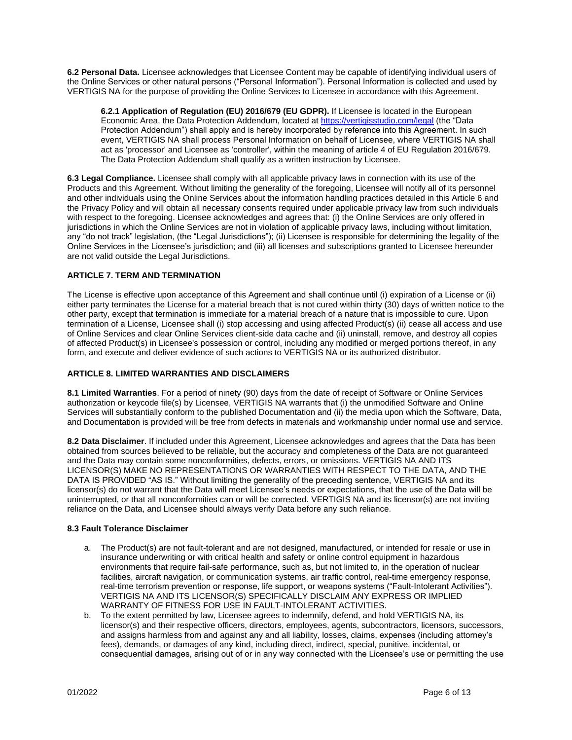**6.2 Personal Data.** Licensee acknowledges that Licensee Content may be capable of identifying individual users of the Online Services or other natural persons ("Personal Information"). Personal Information is collected and used by VERTIGIS NA for the purpose of providing the Online Services to Licensee in accordance with this Agreement.

**6.2.1 Application of Regulation (EU) 2016/679 (EU GDPR).** If Licensee is located in the European Economic Area, the Data Protection Addendum, located a[t https://vertigisstudio.com/legal](https://vertigisstudio.com/legal) (the "Data Protection Addendum") shall apply and is hereby incorporated by reference into this Agreement. In such event, VERTIGIS NA shall process Personal Information on behalf of Licensee, where VERTIGIS NA shall act as 'processor' and Licensee as 'controller', within the meaning of article 4 of EU Regulation 2016/679. The Data Protection Addendum shall qualify as a written instruction by Licensee.

**6.3 Legal Compliance.** Licensee shall comply with all applicable privacy laws in connection with its use of the Products and this Agreement. Without limiting the generality of the foregoing, Licensee will notify all of its personnel and other individuals using the Online Services about the information handling practices detailed in this Article 6 and the Privacy Policy and will obtain all necessary consents required under applicable privacy law from such individuals with respect to the foregoing. Licensee acknowledges and agrees that: (i) the Online Services are only offered in jurisdictions in which the Online Services are not in violation of applicable privacy laws, including without limitation, any "do not track" legislation, (the "Legal Jurisdictions"); (ii) Licensee is responsible for determining the legality of the Online Services in the Licensee's jurisdiction; and (iii) all licenses and subscriptions granted to Licensee hereunder are not valid outside the Legal Jurisdictions.

# **ARTICLE 7. TERM AND TERMINATION**

The License is effective upon acceptance of this Agreement and shall continue until (i) expiration of a License or (ii) either party terminates the License for a material breach that is not cured within thirty (30) days of written notice to the other party, except that termination is immediate for a material breach of a nature that is impossible to cure. Upon termination of a License, Licensee shall (i) stop accessing and using affected Product(s) (ii) cease all access and use of Online Services and clear Online Services client-side data cache and (ii) uninstall, remove, and destroy all copies of affected Product(s) in Licensee's possession or control, including any modified or merged portions thereof, in any form, and execute and deliver evidence of such actions to VERTIGIS NA or its authorized distributor.

# **ARTICLE 8. LIMITED WARRANTIES AND DISCLAIMERS**

**8.1 Limited Warranties**. For a period of ninety (90) days from the date of receipt of Software or Online Services authorization or keycode file(s) by Licensee, VERTIGIS NA warrants that (i) the unmodified Software and Online Services will substantially conform to the published Documentation and (ii) the media upon which the Software, Data, and Documentation is provided will be free from defects in materials and workmanship under normal use and service.

**8.2 Data Disclaimer**. If included under this Agreement, Licensee acknowledges and agrees that the Data has been obtained from sources believed to be reliable, but the accuracy and completeness of the Data are not guaranteed and the Data may contain some nonconformities, defects, errors, or omissions. VERTIGIS NA AND ITS LICENSOR(S) MAKE NO REPRESENTATIONS OR WARRANTIES WITH RESPECT TO THE DATA, AND THE DATA IS PROVIDED "AS IS." Without limiting the generality of the preceding sentence, VERTIGIS NA and its licensor(s) do not warrant that the Data will meet Licensee's needs or expectations, that the use of the Data will be uninterrupted, or that all nonconformities can or will be corrected. VERTIGIS NA and its licensor(s) are not inviting reliance on the Data, and Licensee should always verify Data before any such reliance.

### **8.3 Fault Tolerance Disclaimer**

- a. The Product(s) are not fault-tolerant and are not designed, manufactured, or intended for resale or use in insurance underwriting or with critical health and safety or online control equipment in hazardous environments that require fail-safe performance, such as, but not limited to, in the operation of nuclear facilities, aircraft navigation, or communication systems, air traffic control, real-time emergency response, real-time terrorism prevention or response, life support, or weapons systems ("Fault-Intolerant Activities"). VERTIGIS NA AND ITS LICENSOR(S) SPECIFICALLY DISCLAIM ANY EXPRESS OR IMPLIED WARRANTY OF FITNESS FOR USE IN FAULT-INTOLERANT ACTIVITIES.
- b. To the extent permitted by law, Licensee agrees to indemnify, defend, and hold VERTIGIS NA, its licensor(s) and their respective officers, directors, employees, agents, subcontractors, licensors, successors, and assigns harmless from and against any and all liability, losses, claims, expenses (including attorney's fees), demands, or damages of any kind, including direct, indirect, special, punitive, incidental, or consequential damages, arising out of or in any way connected with the Licensee's use or permitting the use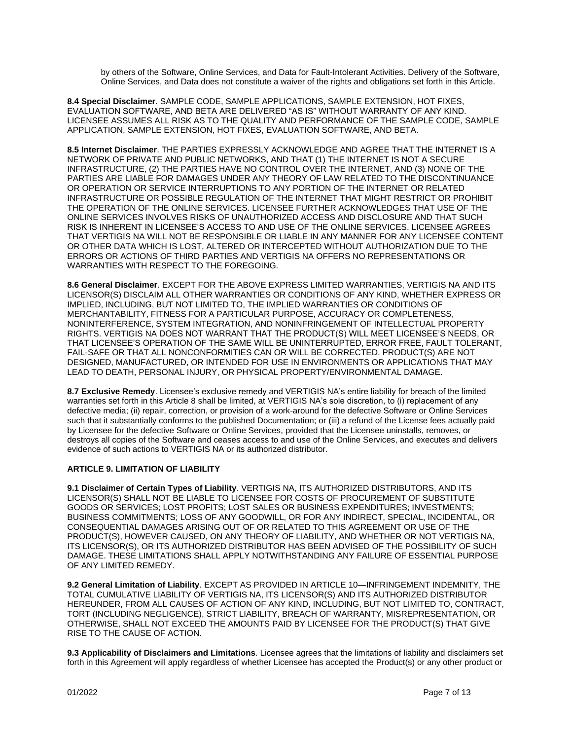by others of the Software, Online Services, and Data for Fault-Intolerant Activities. Delivery of the Software, Online Services, and Data does not constitute a waiver of the rights and obligations set forth in this Article.

**8.4 Special Disclaimer**. SAMPLE CODE, SAMPLE APPLICATIONS, SAMPLE EXTENSION, HOT FIXES, EVALUATION SOFTWARE, AND BETA ARE DELIVERED "AS IS" WITHOUT WARRANTY OF ANY KIND. LICENSEE ASSUMES ALL RISK AS TO THE QUALITY AND PERFORMANCE OF THE SAMPLE CODE, SAMPLE APPLICATION, SAMPLE EXTENSION, HOT FIXES, EVALUATION SOFTWARE, AND BETA.

**8.5 Internet Disclaimer**. THE PARTIES EXPRESSLY ACKNOWLEDGE AND AGREE THAT THE INTERNET IS A NETWORK OF PRIVATE AND PUBLIC NETWORKS, AND THAT (1) THE INTERNET IS NOT A SECURE INFRASTRUCTURE, (2) THE PARTIES HAVE NO CONTROL OVER THE INTERNET, AND (3) NONE OF THE PARTIES ARE LIABLE FOR DAMAGES UNDER ANY THEORY OF LAW RELATED TO THE DISCONTINUANCE OR OPERATION OR SERVICE INTERRUPTIONS TO ANY PORTION OF THE INTERNET OR RELATED INFRASTRUCTURE OR POSSIBLE REGULATION OF THE INTERNET THAT MIGHT RESTRICT OR PROHIBIT THE OPERATION OF THE ONLINE SERVICES. LICENSEE FURTHER ACKNOWLEDGES THAT USE OF THE ONLINE SERVICES INVOLVES RISKS OF UNAUTHORIZED ACCESS AND DISCLOSURE AND THAT SUCH RISK IS INHERENT IN LICENSEE'S ACCESS TO AND USE OF THE ONLINE SERVICES. LICENSEE AGREES THAT VERTIGIS NA WILL NOT BE RESPONSIBLE OR LIABLE IN ANY MANNER FOR ANY LICENSEE CONTENT OR OTHER DATA WHICH IS LOST, ALTERED OR INTERCEPTED WITHOUT AUTHORIZATION DUE TO THE ERRORS OR ACTIONS OF THIRD PARTIES AND VERTIGIS NA OFFERS NO REPRESENTATIONS OR WARRANTIES WITH RESPECT TO THE FOREGOING.

**8.6 General Disclaimer**. EXCEPT FOR THE ABOVE EXPRESS LIMITED WARRANTIES, VERTIGIS NA AND ITS LICENSOR(S) DISCLAIM ALL OTHER WARRANTIES OR CONDITIONS OF ANY KIND, WHETHER EXPRESS OR IMPLIED, INCLUDING, BUT NOT LIMITED TO, THE IMPLIED WARRANTIES OR CONDITIONS OF MERCHANTABILITY, FITNESS FOR A PARTICULAR PURPOSE, ACCURACY OR COMPLETENESS, NONINTERFERENCE, SYSTEM INTEGRATION, AND NONINFRINGEMENT OF INTELLECTUAL PROPERTY RIGHTS. VERTIGIS NA DOES NOT WARRANT THAT THE PRODUCT(S) WILL MEET LICENSEE'S NEEDS, OR THAT LICENSEE'S OPERATION OF THE SAME WILL BE UNINTERRUPTED, ERROR FREE, FAULT TOLERANT, FAIL-SAFE OR THAT ALL NONCONFORMITIES CAN OR WILL BE CORRECTED. PRODUCT(S) ARE NOT DESIGNED, MANUFACTURED, OR INTENDED FOR USE IN ENVIRONMENTS OR APPLICATIONS THAT MAY LEAD TO DEATH, PERSONAL INJURY, OR PHYSICAL PROPERTY/ENVIRONMENTAL DAMAGE.

**8.7 Exclusive Remedy**. Licensee's exclusive remedy and VERTIGIS NA's entire liability for breach of the limited warranties set forth in this Article 8 shall be limited, at VERTIGIS NA's sole discretion, to (i) replacement of any defective media; (ii) repair, correction, or provision of a work-around for the defective Software or Online Services such that it substantially conforms to the published Documentation; or (iii) a refund of the License fees actually paid by Licensee for the defective Software or Online Services, provided that the Licensee uninstalls, removes, or destroys all copies of the Software and ceases access to and use of the Online Services, and executes and delivers evidence of such actions to VERTIGIS NA or its authorized distributor.

### **ARTICLE 9. LIMITATION OF LIABILITY**

**9.1 Disclaimer of Certain Types of Liability**. VERTIGIS NA, ITS AUTHORIZED DISTRIBUTORS, AND ITS LICENSOR(S) SHALL NOT BE LIABLE TO LICENSEE FOR COSTS OF PROCUREMENT OF SUBSTITUTE GOODS OR SERVICES; LOST PROFITS; LOST SALES OR BUSINESS EXPENDITURES; INVESTMENTS; BUSINESS COMMITMENTS; LOSS OF ANY GOODWILL, OR FOR ANY INDIRECT, SPECIAL, INCIDENTAL, OR CONSEQUENTIAL DAMAGES ARISING OUT OF OR RELATED TO THIS AGREEMENT OR USE OF THE PRODUCT(S), HOWEVER CAUSED, ON ANY THEORY OF LIABILITY, AND WHETHER OR NOT VERTIGIS NA, ITS LICENSOR(S), OR ITS AUTHORIZED DISTRIBUTOR HAS BEEN ADVISED OF THE POSSIBILITY OF SUCH DAMAGE. THESE LIMITATIONS SHALL APPLY NOTWITHSTANDING ANY FAILURE OF ESSENTIAL PURPOSE OF ANY LIMITED REMEDY.

**9.2 General Limitation of Liability**. EXCEPT AS PROVIDED IN ARTICLE 10—INFRINGEMENT INDEMNITY, THE TOTAL CUMULATIVE LIABILITY OF VERTIGIS NA, ITS LICENSOR(S) AND ITS AUTHORIZED DISTRIBUTOR HEREUNDER, FROM ALL CAUSES OF ACTION OF ANY KIND, INCLUDING, BUT NOT LIMITED TO, CONTRACT, TORT (INCLUDING NEGLIGENCE), STRICT LIABILITY, BREACH OF WARRANTY, MISREPRESENTATION, OR OTHERWISE, SHALL NOT EXCEED THE AMOUNTS PAID BY LICENSEE FOR THE PRODUCT(S) THAT GIVE RISE TO THE CAUSE OF ACTION.

**9.3 Applicability of Disclaimers and Limitations**. Licensee agrees that the limitations of liability and disclaimers set forth in this Agreement will apply regardless of whether Licensee has accepted the Product(s) or any other product or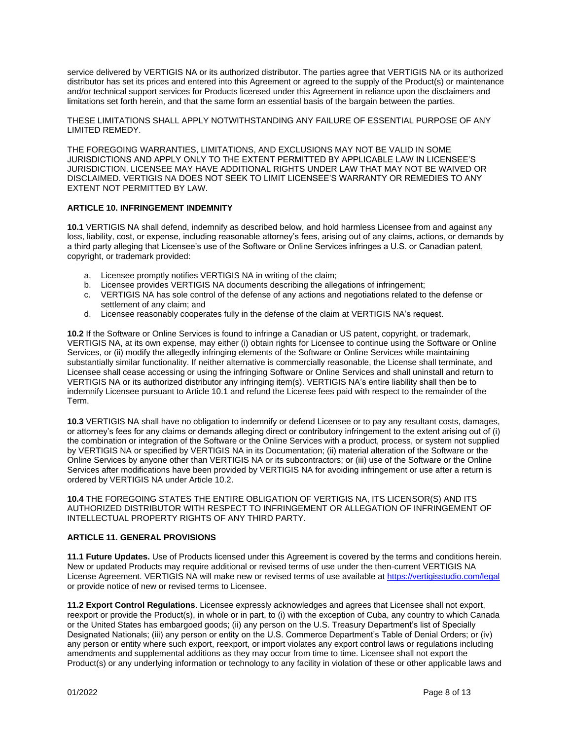service delivered by VERTIGIS NA or its authorized distributor. The parties agree that VERTIGIS NA or its authorized distributor has set its prices and entered into this Agreement or agreed to the supply of the Product(s) or maintenance and/or technical support services for Products licensed under this Agreement in reliance upon the disclaimers and limitations set forth herein, and that the same form an essential basis of the bargain between the parties.

THESE LIMITATIONS SHALL APPLY NOTWITHSTANDING ANY FAILURE OF ESSENTIAL PURPOSE OF ANY LIMITED REMEDY.

THE FOREGOING WARRANTIES, LIMITATIONS, AND EXCLUSIONS MAY NOT BE VALID IN SOME JURISDICTIONS AND APPLY ONLY TO THE EXTENT PERMITTED BY APPLICABLE LAW IN LICENSEE'S JURISDICTION. LICENSEE MAY HAVE ADDITIONAL RIGHTS UNDER LAW THAT MAY NOT BE WAIVED OR DISCLAIMED. VERTIGIS NA DOES NOT SEEK TO LIMIT LICENSEE'S WARRANTY OR REMEDIES TO ANY EXTENT NOT PERMITTED BY LAW.

### **ARTICLE 10. INFRINGEMENT INDEMNITY**

**10.1** VERTIGIS NA shall defend, indemnify as described below, and hold harmless Licensee from and against any loss, liability, cost, or expense, including reasonable attorney's fees, arising out of any claims, actions, or demands by a third party alleging that Licensee's use of the Software or Online Services infringes a U.S. or Canadian patent, copyright, or trademark provided:

- a. Licensee promptly notifies VERTIGIS NA in writing of the claim;
- b. Licensee provides VERTIGIS NA documents describing the allegations of infringement;
- c. VERTIGIS NA has sole control of the defense of any actions and negotiations related to the defense or settlement of any claim; and
- d. Licensee reasonably cooperates fully in the defense of the claim at VERTIGIS NA's request.

**10.2** If the Software or Online Services is found to infringe a Canadian or US patent, copyright, or trademark, VERTIGIS NA, at its own expense, may either (i) obtain rights for Licensee to continue using the Software or Online Services, or (ii) modify the allegedly infringing elements of the Software or Online Services while maintaining substantially similar functionality. If neither alternative is commercially reasonable, the License shall terminate, and Licensee shall cease accessing or using the infringing Software or Online Services and shall uninstall and return to VERTIGIS NA or its authorized distributor any infringing item(s). VERTIGIS NA's entire liability shall then be to indemnify Licensee pursuant to Article 10.1 and refund the License fees paid with respect to the remainder of the Term.

**10.3** VERTIGIS NA shall have no obligation to indemnify or defend Licensee or to pay any resultant costs, damages, or attorney's fees for any claims or demands alleging direct or contributory infringement to the extent arising out of (i) the combination or integration of the Software or the Online Services with a product, process, or system not supplied by VERTIGIS NA or specified by VERTIGIS NA in its Documentation; (ii) material alteration of the Software or the Online Services by anyone other than VERTIGIS NA or its subcontractors; or (iii) use of the Software or the Online Services after modifications have been provided by VERTIGIS NA for avoiding infringement or use after a return is ordered by VERTIGIS NA under Article 10.2.

**10.4** THE FOREGOING STATES THE ENTIRE OBLIGATION OF VERTIGIS NA, ITS LICENSOR(S) AND ITS AUTHORIZED DISTRIBUTOR WITH RESPECT TO INFRINGEMENT OR ALLEGATION OF INFRINGEMENT OF INTELLECTUAL PROPERTY RIGHTS OF ANY THIRD PARTY.

### **ARTICLE 11. GENERAL PROVISIONS**

**11.1 Future Updates.** Use of Products licensed under this Agreement is covered by the terms and conditions herein. New or updated Products may require additional or revised terms of use under the then-current VERTIGIS NA License Agreement. VERTIGIS NA will make new or revised terms of use available a[t https://vertigisstudio.com/legal](https://vertigisstudio.com/legal) or provide notice of new or revised terms to Licensee.

**11.2 Export Control Regulations**. Licensee expressly acknowledges and agrees that Licensee shall not export, reexport or provide the Product(s), in whole or in part, to (i) with the exception of Cuba, any country to which Canada or the United States has embargoed goods; (ii) any person on the U.S. Treasury Department's list of Specially Designated Nationals; (iii) any person or entity on the U.S. Commerce Department's Table of Denial Orders; or (iv) any person or entity where such export, reexport, or import violates any export control laws or regulations including amendments and supplemental additions as they may occur from time to time. Licensee shall not export the Product(s) or any underlying information or technology to any facility in violation of these or other applicable laws and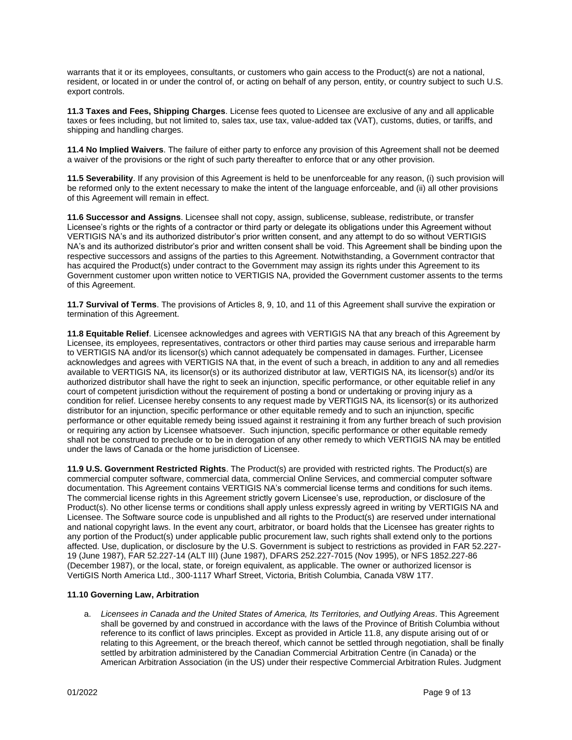warrants that it or its employees, consultants, or customers who gain access to the Product(s) are not a national, resident, or located in or under the control of, or acting on behalf of any person, entity, or country subject to such U.S. export controls.

**11.3 Taxes and Fees, Shipping Charges**. License fees quoted to Licensee are exclusive of any and all applicable taxes or fees including, but not limited to, sales tax, use tax, value-added tax (VAT), customs, duties, or tariffs, and shipping and handling charges.

**11.4 No Implied Waivers**. The failure of either party to enforce any provision of this Agreement shall not be deemed a waiver of the provisions or the right of such party thereafter to enforce that or any other provision.

**11.5 Severability**. If any provision of this Agreement is held to be unenforceable for any reason, (i) such provision will be reformed only to the extent necessary to make the intent of the language enforceable, and (ii) all other provisions of this Agreement will remain in effect.

**11.6 Successor and Assigns**. Licensee shall not copy, assign, sublicense, sublease, redistribute, or transfer Licensee's rights or the rights of a contractor or third party or delegate its obligations under this Agreement without VERTIGIS NA's and its authorized distributor's prior written consent, and any attempt to do so without VERTIGIS NA's and its authorized distributor's prior and written consent shall be void. This Agreement shall be binding upon the respective successors and assigns of the parties to this Agreement. Notwithstanding, a Government contractor that has acquired the Product(s) under contract to the Government may assign its rights under this Agreement to its Government customer upon written notice to VERTIGIS NA, provided the Government customer assents to the terms of this Agreement.

**11.7 Survival of Terms**. The provisions of Articles 8, 9, 10, and 11 of this Agreement shall survive the expiration or termination of this Agreement.

**11.8 Equitable Relief**. Licensee acknowledges and agrees with VERTIGIS NA that any breach of this Agreement by Licensee, its employees, representatives, contractors or other third parties may cause serious and irreparable harm to VERTIGIS NA and/or its licensor(s) which cannot adequately be compensated in damages. Further, Licensee acknowledges and agrees with VERTIGIS NA that, in the event of such a breach, in addition to any and all remedies available to VERTIGIS NA, its licensor(s) or its authorized distributor at law, VERTIGIS NA, its licensor(s) and/or its authorized distributor shall have the right to seek an injunction, specific performance, or other equitable relief in any court of competent jurisdiction without the requirement of posting a bond or undertaking or proving injury as a condition for relief. Licensee hereby consents to any request made by VERTIGIS NA, its licensor(s) or its authorized distributor for an injunction, specific performance or other equitable remedy and to such an injunction, specific performance or other equitable remedy being issued against it restraining it from any further breach of such provision or requiring any action by Licensee whatsoever. Such injunction, specific performance or other equitable remedy shall not be construed to preclude or to be in derogation of any other remedy to which VERTIGIS NA may be entitled under the laws of Canada or the home jurisdiction of Licensee.

**11.9 U.S. Government Restricted Rights**. The Product(s) are provided with restricted rights. The Product(s) are commercial computer software, commercial data, commercial Online Services, and commercial computer software documentation. This Agreement contains VERTIGIS NA's commercial license terms and conditions for such items. The commercial license rights in this Agreement strictly govern Licensee's use, reproduction, or disclosure of the Product(s). No other license terms or conditions shall apply unless expressly agreed in writing by VERTIGIS NA and Licensee. The Software source code is unpublished and all rights to the Product(s) are reserved under international and national copyright laws. In the event any court, arbitrator, or board holds that the Licensee has greater rights to any portion of the Product(s) under applicable public procurement law, such rights shall extend only to the portions affected. Use, duplication, or disclosure by the U.S. Government is subject to restrictions as provided in FAR 52.227- 19 (June 1987), FAR 52.227-14 (ALT III) (June 1987), DFARS 252.227-7015 (Nov 1995), or NFS 1852.227-86 (December 1987), or the local, state, or foreign equivalent, as applicable. The owner or authorized licensor is VertiGIS North America Ltd., 300-1117 Wharf Street, Victoria, British Columbia, Canada V8W 1T7.

### **11.10 Governing Law, Arbitration**

a. *Licensees in Canada and the United States of America, Its Territories, and Outlying Areas*. This Agreement shall be governed by and construed in accordance with the laws of the Province of British Columbia without reference to its conflict of laws principles. Except as provided in Article 11.8, any dispute arising out of or relating to this Agreement, or the breach thereof, which cannot be settled through negotiation, shall be finally settled by arbitration administered by the Canadian Commercial Arbitration Centre (in Canada) or the American Arbitration Association (in the US) under their respective Commercial Arbitration Rules. Judgment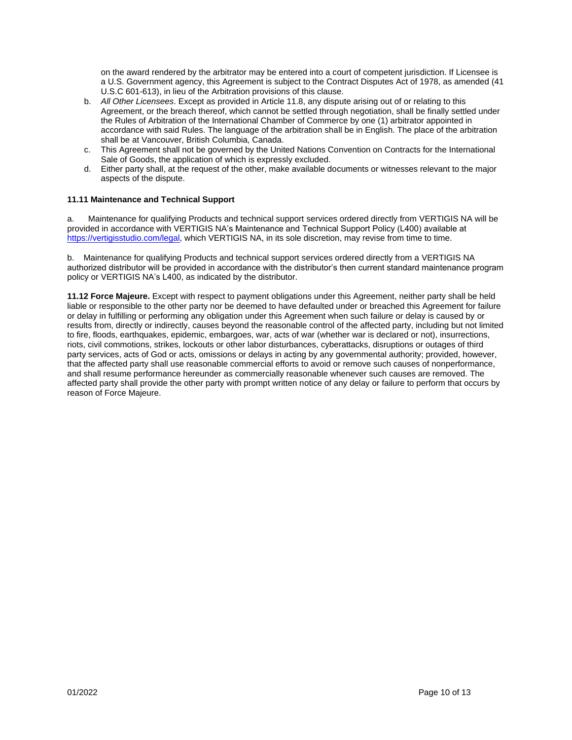on the award rendered by the arbitrator may be entered into a court of competent jurisdiction. If Licensee is a U.S. Government agency, this Agreement is subject to the Contract Disputes Act of 1978, as amended (41 U.S.C 601-613), in lieu of the Arbitration provisions of this clause.

- b. *All Other Licensees*. Except as provided in Article 11.8, any dispute arising out of or relating to this Agreement, or the breach thereof, which cannot be settled through negotiation, shall be finally settled under the Rules of Arbitration of the International Chamber of Commerce by one (1) arbitrator appointed in accordance with said Rules. The language of the arbitration shall be in English. The place of the arbitration shall be at Vancouver, British Columbia, Canada.
- c. This Agreement shall not be governed by the United Nations Convention on Contracts for the International Sale of Goods, the application of which is expressly excluded.
- d. Either party shall, at the request of the other, make available documents or witnesses relevant to the major aspects of the dispute.

### **11.11 Maintenance and Technical Support**

Maintenance for qualifying Products and technical support services ordered directly from VERTIGIS NA will be provided in accordance with VERTIGIS NA's Maintenance and Technical Support Policy (L400) available at [https://vertigisstudio.com/legal,](https://vertigisstudio.com/legal) which VERTIGIS NA, in its sole discretion, may revise from time to time.

b. Maintenance for qualifying Products and technical support services ordered directly from a VERTIGIS NA authorized distributor will be provided in accordance with the distributor's then current standard maintenance program policy or VERTIGIS NA's L400, as indicated by the distributor.

**11.12 Force Majeure.** Except with respect to payment obligations under this Agreement, neither party shall be held liable or responsible to the other party nor be deemed to have defaulted under or breached this Agreement for failure or delay in fulfilling or performing any obligation under this Agreement when such failure or delay is caused by or results from, directly or indirectly, causes beyond the reasonable control of the affected party, including but not limited to fire, floods, earthquakes, epidemic, embargoes, war, acts of war (whether war is declared or not), insurrections, riots, civil commotions, strikes, lockouts or other labor disturbances, cyberattacks, disruptions or outages of third party services, acts of God or acts, omissions or delays in acting by any governmental authority; provided, however, that the affected party shall use reasonable commercial efforts to avoid or remove such causes of nonperformance, and shall resume performance hereunder as commercially reasonable whenever such causes are removed. The affected party shall provide the other party with prompt written notice of any delay or failure to perform that occurs by reason of Force Majeure.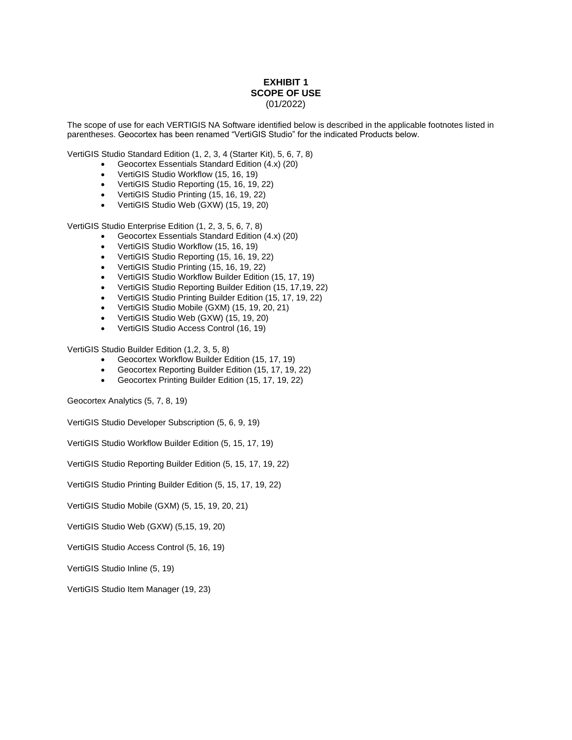## **EXHIBIT 1 SCOPE OF USE** (01/2022)

The scope of use for each VERTIGIS NA Software identified below is described in the applicable footnotes listed in parentheses. Geocortex has been renamed "VertiGIS Studio" for the indicated Products below.

VertiGIS Studio Standard Edition (1, 2, 3, 4 (Starter Kit), 5, 6, 7, 8)

- Geocortex Essentials Standard Edition (4.x) (20)
- VertiGIS Studio Workflow (15, 16, 19)
- VertiGIS Studio Reporting (15, 16, 19, 22)
- VertiGIS Studio Printing (15, 16, 19, 22)
- VertiGIS Studio Web (GXW) (15, 19, 20)

VertiGIS Studio Enterprise Edition (1, 2, 3, 5, 6, 7, 8)

- Geocortex Essentials Standard Edition (4.x) (20)
- VertiGIS Studio Workflow (15, 16, 19)
- VertiGIS Studio Reporting (15, 16, 19, 22)
- VertiGIS Studio Printing (15, 16, 19, 22)
- VertiGIS Studio Workflow Builder Edition (15, 17, 19)
- VertiGIS Studio Reporting Builder Edition (15, 17,19, 22)
- VertiGIS Studio Printing Builder Edition (15, 17, 19, 22)
- VertiGIS Studio Mobile (GXM) (15, 19, 20, 21)
- VertiGIS Studio Web (GXW) (15, 19, 20)
- VertiGIS Studio Access Control (16, 19)

VertiGIS Studio Builder Edition (1,2, 3, 5, 8)

- Geocortex Workflow Builder Edition (15, 17, 19)
- Geocortex Reporting Builder Edition (15, 17, 19, 22)
- Geocortex Printing Builder Edition (15, 17, 19, 22)

Geocortex Analytics (5, 7, 8, 19)

VertiGIS Studio Developer Subscription (5, 6, 9, 19)

VertiGIS Studio Workflow Builder Edition (5, 15, 17, 19)

VertiGIS Studio Reporting Builder Edition (5, 15, 17, 19, 22)

VertiGIS Studio Printing Builder Edition (5, 15, 17, 19, 22)

VertiGIS Studio Mobile (GXM) (5, 15, 19, 20, 21)

VertiGIS Studio Web (GXW) (5,15, 19, 20)

VertiGIS Studio Access Control (5, 16, 19)

VertiGIS Studio Inline (5, 19)

VertiGIS Studio Item Manager (19, 23)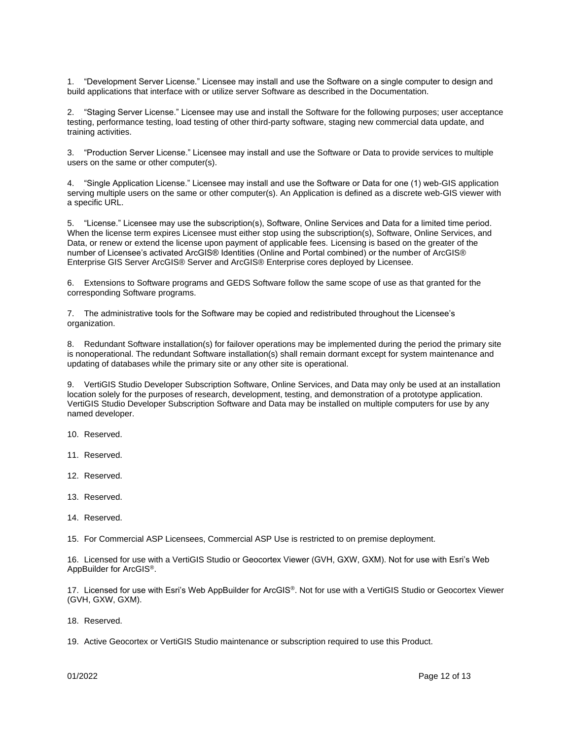1. "Development Server License." Licensee may install and use the Software on a single computer to design and build applications that interface with or utilize server Software as described in the Documentation.

2. "Staging Server License." Licensee may use and install the Software for the following purposes; user acceptance testing, performance testing, load testing of other third-party software, staging new commercial data update, and training activities.

3. "Production Server License." Licensee may install and use the Software or Data to provide services to multiple users on the same or other computer(s).

4. "Single Application License." Licensee may install and use the Software or Data for one (1) web-GIS application serving multiple users on the same or other computer(s). An Application is defined as a discrete web-GIS viewer with a specific URL.

5. "License." Licensee may use the subscription(s), Software, Online Services and Data for a limited time period. When the license term expires Licensee must either stop using the subscription(s), Software, Online Services, and Data, or renew or extend the license upon payment of applicable fees. Licensing is based on the greater of the number of Licensee's activated ArcGIS® Identities (Online and Portal combined) or the number of ArcGIS® Enterprise GIS Server ArcGIS® Server and ArcGIS® Enterprise cores deployed by Licensee.

6. Extensions to Software programs and GEDS Software follow the same scope of use as that granted for the corresponding Software programs.

7. The administrative tools for the Software may be copied and redistributed throughout the Licensee's organization.

8. Redundant Software installation(s) for failover operations may be implemented during the period the primary site is nonoperational. The redundant Software installation(s) shall remain dormant except for system maintenance and updating of databases while the primary site or any other site is operational.

9. VertiGIS Studio Developer Subscription Software, Online Services, and Data may only be used at an installation location solely for the purposes of research, development, testing, and demonstration of a prototype application. VertiGIS Studio Developer Subscription Software and Data may be installed on multiple computers for use by any named developer.

10. Reserved.

11. Reserved.

- 12. Reserved.
- 13. Reserved.
- 14. Reserved.

15. For Commercial ASP Licensees, Commercial ASP Use is restricted to on premise deployment.

16. Licensed for use with a VertiGIS Studio or Geocortex Viewer (GVH, GXW, GXM). Not for use with Esri's Web AppBuilder for ArcGIS®.

17. Licensed for use with Esri's Web AppBuilder for ArcGIS®. Not for use with a VertiGIS Studio or Geocortex Viewer (GVH, GXW, GXM).

18. Reserved.

19. Active Geocortex or VertiGIS Studio maintenance or subscription required to use this Product.